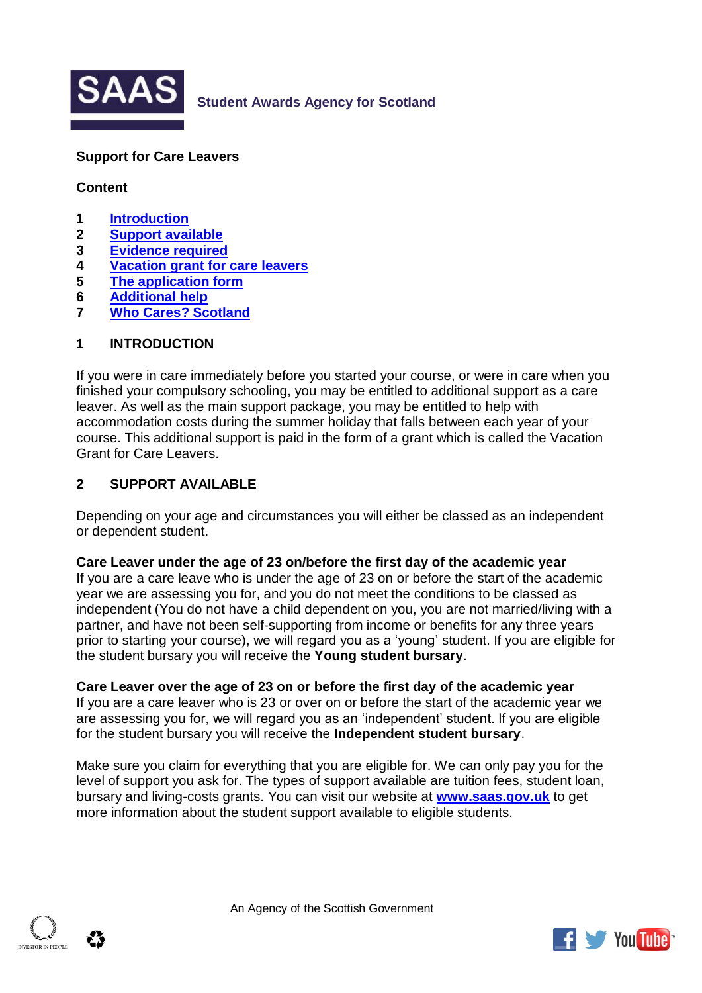

## **Student Awards Agency for Scotland**

### **Support for Care Leavers**

### **Content**

- **1 [Introduction](#page-0-0)**
- **2 [Support available](#page-0-1)**
- <span id="page-0-2"></span>**3 [Evidence required](#page-0-2)**
- **4 [Vacation grant for care leavers](#page-1-0)**
- **5 [The application form](#page-2-0)**
- **6 [Additional help](#page-4-0)**
- **7 [Who Cares? Scotland](#page-4-1)**

### <span id="page-0-0"></span>**1 INTRODUCTION**

If you were in care immediately before you started your course, or were in care when you finished your compulsory schooling, you may be entitled to additional support as a care leaver. As well as the main support package, you may be entitled to help with accommodation costs during the summer holiday that falls between each year of your course. This additional support is paid in the form of a grant which is called the Vacation Grant for Care Leavers.

### <span id="page-0-1"></span>**2 SUPPORT AVAILABLE**

Depending on your age and circumstances you will either be classed as an independent or dependent student.

#### **Care Leaver under the age of 23 on/before the first day of the academic year**

If you are a care leave who is under the age of 23 on or before the start of the academic year we are assessing you for, and you do not meet the conditions to be classed as independent (You do not have a child dependent on you, you are not married/living with a partner, and have not been self-supporting from income or benefits for any three years prior to starting your course), we will regard you as a 'young' student. If you are eligible for the student bursary you will receive the **Young student bursary**.

#### **Care Leaver over the age of 23 on or before the first day of the academic year**

If you are a care leaver who is 23 or over on or before the start of the academic year we are assessing you for, we will regard you as an 'independent' student. If you are eligible for the student bursary you will receive the **Independent student bursary**.

Make sure you claim for everything that you are eligible for. We can only pay you for the level of support you ask for. The types of support available are tuition fees, student loan, bursary and living-costs grants. You can visit our website at **[www.saas.gov.uk](http://www.saas.gov.uk/)** to get more information about the student support available to eligible students.

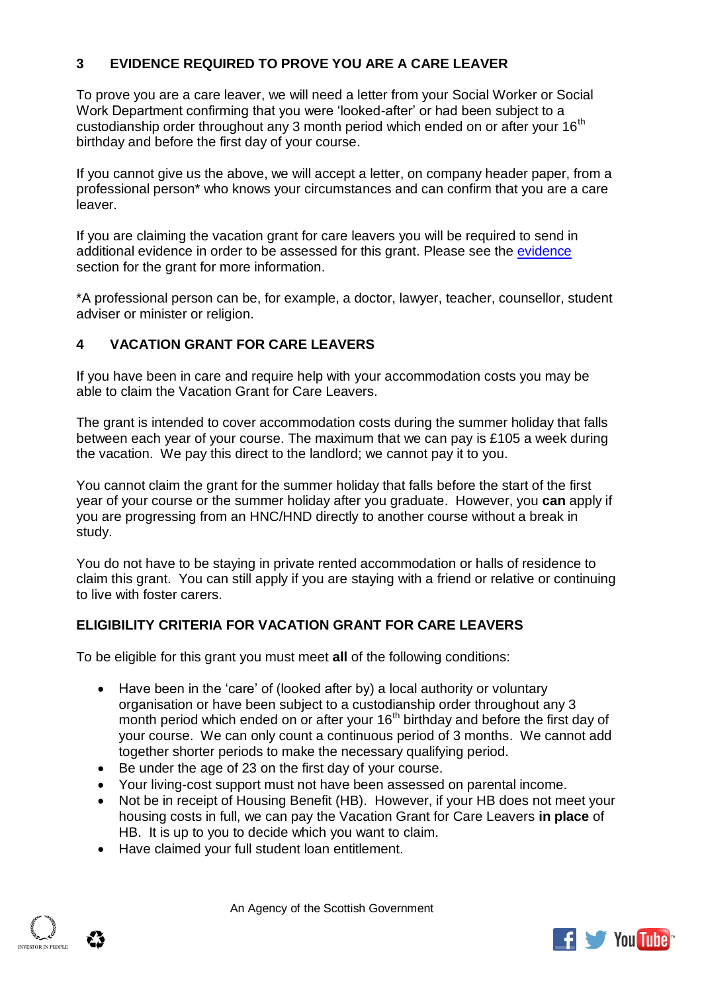# **3 EVIDENCE REQUIRED TO PROVE YOU ARE A CARE LEAVER**

To prove you are a care leaver, we will need a letter from your Social Worker or Social Work Department confirming that you were 'looked-after' or had been subject to a custodianship order throughout any 3 month period which ended on or after your 16<sup>th</sup> birthday and before the first day of your course.

If you cannot give us the above, we will accept a letter, on company header paper, from a professional person\* who knows your circumstances and can confirm that you are a care leaver.

If you are claiming the vacation grant for care leavers you will be required to send in additional evidence in order to be assessed for this grant. Please see the [evidence](#page-1-1) section for the grant for more information.

\*A professional person can be, for example, a doctor, lawyer, teacher, counsellor, student adviser or minister or religion.

## <span id="page-1-0"></span>**4 VACATION GRANT FOR CARE LEAVERS**

If you have been in care and require help with your accommodation costs you may be able to claim the Vacation Grant for Care Leavers.

The grant is intended to cover accommodation costs during the summer holiday that falls between each year of your course. The maximum that we can pay is £105 a week during the vacation. We pay this direct to the landlord; we cannot pay it to you.

You cannot claim the grant for the summer holiday that falls before the start of the first year of your course or the summer holiday after you graduate. However, you **can** apply if you are progressing from an HNC/HND directly to another course without a break in study.

You do not have to be staying in private rented accommodation or halls of residence to claim this grant. You can still apply if you are staying with a friend or relative or continuing to live with foster carers.

## **ELIGIBILITY CRITERIA FOR VACATION GRANT FOR CARE LEAVERS**

To be eligible for this grant you must meet **all** of the following conditions:

- Have been in the 'care' of (looked after by) a local authority or voluntary organisation or have been subject to a custodianship order throughout any 3 month period which ended on or after your  $16<sup>th</sup>$  birthday and before the first day of your course. We can only count a continuous period of 3 months. We cannot add together shorter periods to make the necessary qualifying period.
- Be under the age of 23 on the first day of your course.
- Your living-cost support must not have been assessed on parental income.
- Not be in receipt of Housing Benefit (HB). However, if your HB does not meet your housing costs in full, we can pay the Vacation Grant for Care Leavers **in place** of HB. It is up to you to decide which you want to claim.
- <span id="page-1-1"></span>Have claimed your full student loan entitlement.



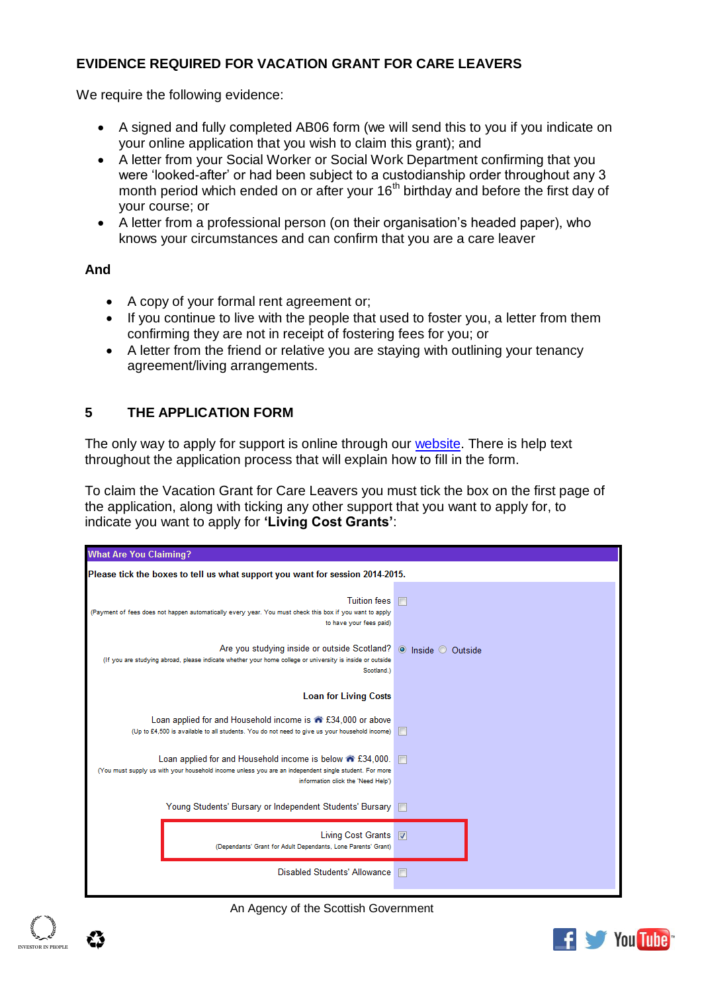## **EVIDENCE REQUIRED FOR VACATION GRANT FOR CARE LEAVERS**

We require the following evidence:

- A signed and fully completed AB06 form (we will send this to you if you indicate on your online application that you wish to claim this grant); and
- A letter from your Social Worker or Social Work Department confirming that you were 'looked-after' or had been subject to a custodianship order throughout any 3 month period which ended on or after your 16<sup>th</sup> birthday and before the first day of your course; or
- A letter from a professional person (on their organisation's headed paper), who knows your circumstances and can confirm that you are a care leaver

### **And**

- A copy of your formal rent agreement or;
- If you continue to live with the people that used to foster you, a letter from them confirming they are not in receipt of fostering fees for you; or
- A letter from the friend or relative you are staying with outlining your tenancy agreement/living arrangements.

# <span id="page-2-0"></span>**5 THE APPLICATION FORM**

The only way to apply for support is online through our [website.](http://www.saas.gov.uk/) There is help text throughout the application process that will explain how to fill in the form.

To claim the Vacation Grant for Care Leavers you must tick the box on the first page of the application, along with ticking any other support that you want to apply for, to indicate you want to apply for **'Living Cost Grants'**:



An Agency of the Scottish Government

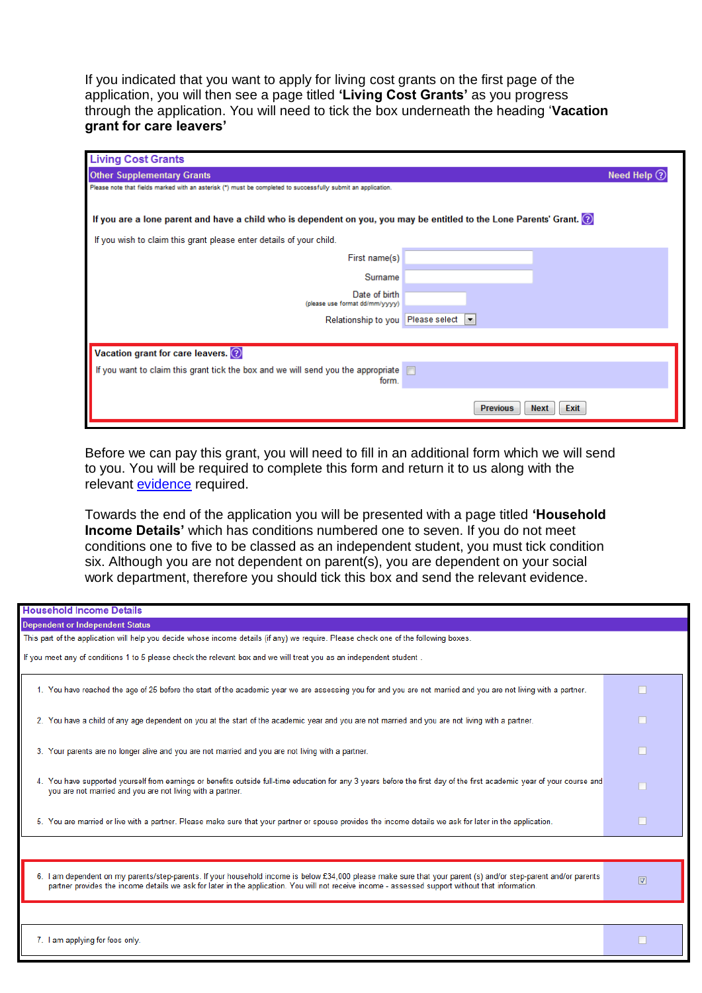If you indicated that you want to apply for living cost grants on the first page of the application, you will then see a page titled **'Living Cost Grants'** as you progress through the application. You will need to tick the box underneath the heading '**Vacation grant for care leavers'**

| <b>Living Cost Grants</b>                                                                                          |                                        |  |
|--------------------------------------------------------------------------------------------------------------------|----------------------------------------|--|
| <b>Other Supplementary Grants</b>                                                                                  | Need Help $(?)$                        |  |
| Please note that fields marked with an asterisk (*) must be completed to successfully submit an application.       |                                        |  |
|                                                                                                                    |                                        |  |
| If you are a lone parent and have a child who is dependent on you, you may be entitled to the Lone Parents' Grant. |                                        |  |
| If you wish to claim this grant please enter details of your child.                                                |                                        |  |
| First name(s)                                                                                                      |                                        |  |
| Surname                                                                                                            |                                        |  |
| Date of birth<br>(please use format dd/mm/yyyy)                                                                    |                                        |  |
| Relationship to you                                                                                                | Please select<br>l.                    |  |
|                                                                                                                    |                                        |  |
| Vacation grant for care leavers. 2                                                                                 |                                        |  |
| If you want to claim this grant tick the box and we will send you the appropriate $\square$                        |                                        |  |
| form.                                                                                                              |                                        |  |
|                                                                                                                    | Exit<br><b>Previous</b><br><b>Next</b> |  |

Before we can pay this grant, you will need to fill in an additional form which we will send to you. You will be required to complete this form and return it to us along with the relevant [evidence](#page-1-1) required.

Towards the end of the application you will be presented with a page titled **'Household Income Details'** which has conditions numbered one to seven. If you do not meet conditions one to five to be classed as an independent student, you must tick condition six. Although you are not dependent on parent(s), you are dependent on your social work department, therefore you should tick this box and send the relevant evidence.

| <b>Household Income Details</b>                                                                                                                                                                                                                                                                                      |             |  |
|----------------------------------------------------------------------------------------------------------------------------------------------------------------------------------------------------------------------------------------------------------------------------------------------------------------------|-------------|--|
| <b>Dependent or Independent Status</b>                                                                                                                                                                                                                                                                               |             |  |
| This part of the application will help you decide whose income details (if any) we require. Please check one of the following boxes.                                                                                                                                                                                 |             |  |
| If you meet any of conditions 1 to 5 please check the relevant box and we will treat you as an independent student.                                                                                                                                                                                                  |             |  |
| 1. You have reached the age of 25 before the start of the academic year we are assessing you for and you are not married and you are not living with a partner.                                                                                                                                                      |             |  |
| 2. You have a child of any age dependent on you at the start of the academic year and you are not married and you are not living with a partner.                                                                                                                                                                     |             |  |
| 3. Your parents are no longer alive and you are not married and you are not living with a partner.                                                                                                                                                                                                                   |             |  |
| 4. You have supported yourself from earnings or benefits outside full-time education for any 3 years before the first day of the first academic year of your course and<br>you are not married and you are not living with a partner.                                                                                |             |  |
| 5. You are married or live with a partner. Please make sure that your partner or spouse provides the income details we ask for later in the application.                                                                                                                                                             |             |  |
|                                                                                                                                                                                                                                                                                                                      |             |  |
| 6. I am dependent on my parents/step-parents. If your household income is below £34,000 please make sure that your parent (s) and/or step-parent and/or parents<br>partner provides the income details we ask for later in the application. You will not receive income - assessed support without that information. | $\boxed{3}$ |  |
|                                                                                                                                                                                                                                                                                                                      |             |  |
| 7. I am applying for fees only.                                                                                                                                                                                                                                                                                      |             |  |